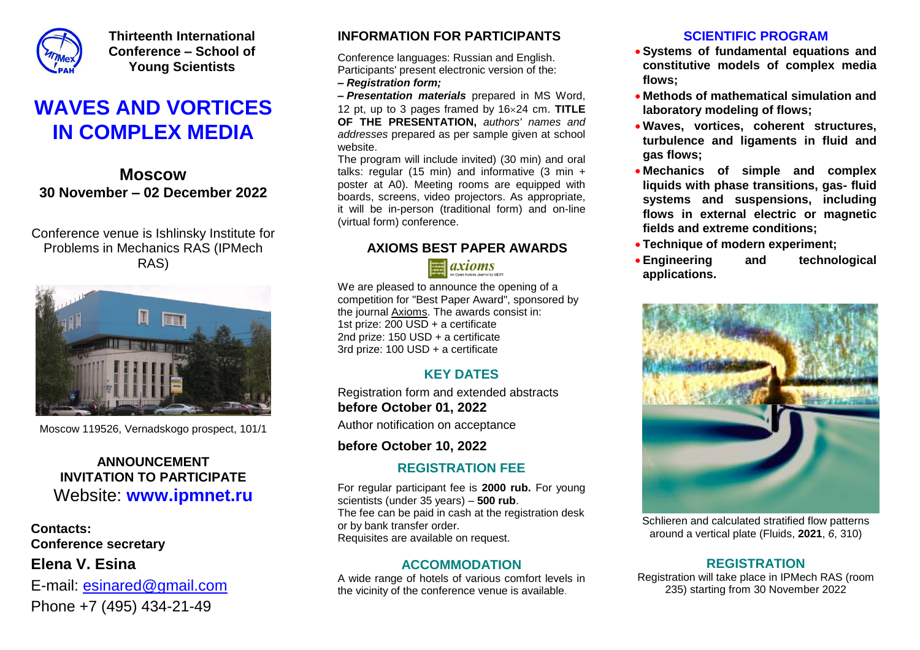

**Thirteenth International Conference – School of Young Scientists**

## **WAVES AND VORTICES IN COMPLEX MEDIA**

**Moscow 30 November – 02 December 2022**

Conference venue is Ishlinsky Institute for Problems in Mechanics RAS (IPMech RAS)



Moscow 119526, Vernadskogo prospect, 101/1

### **ANNOUNCEMENT INVITATION TO PARTICIPATE** Website: **[www.ipmnet.ru](http://lfm-ipm.ipmnet.ru/)**

**Contacts: Conference secretary Elena V. Esina** E-mail: [esinared@gmail.com](mailto:esinared@gmail.com) Phone +7 (495) 434-21-49

#### **INFORMATION FOR PARTICIPANTS**

Conference languages: Russian and English. Participants' present electronic version of the:

**–** *Registration form;*

*– Presentation materials* prepared in MS Word, 12 pt, up to 3 pages framed by 1624 cm. **TITLE OF THE PRESENTATION,** *authors' names and addresses* prepared as per sample given at school website.

The program will include invited) (30 min) and oral talks: regular (15 min) and informative (3 min + poster at A0). Meeting rooms are equipped with boards, screens, video projectors. As appropriate, boards, screens, video projectors. As appropriate,<br>it will be in-person (traditional form) and on-line (virtual form) conference.

#### **AXIOMS BEST PAPER AWARDS**

 $\equiv$  axioms

We are pleased to announce the opening of a competition for "Best Paper Award", sponsored by the journal [Axioms.](https://www.mdpi.com/journal/axioms) The awards consist in: **12** 1st prize: 200 USD + a certificate 2nd prize: 150 USD + a certificate 3rd prize: 100 USD + a certificate

#### **KEY DATES**

Registration form and extended abstracts **before October 01, 2022**

Author notification on acceptance **8**

**before October 10, 2022**

#### **REGISTRATION FEE**

For regular participant fee is **2000 rub.** For young scientists (under 35 years) – **500 rub**. The fee can be paid in cash at the registration desk or by bank transfer order. Requisites are available on request. **4**

#### **ACCOMMODATION**

A wide range of hotels of various comfort levels in the vicinity of the conference venue is available.

#### **SCIENTIFIC PROGRAM**

- **Systems of fundamental equations and constitutive models of complex media flows;**
- **Methods of mathematical simulation and laboratory modeling of flows;**
- **RESENTATION,** authors' names and **CONSTANDING WAVES, vortices, coherent structures, turbulence and ligaments in fluid and gas flows;**
	- **Mechanics of simple and complex liquids with phase transitions, gas- fluid systems and suspensions, including flows in external electric or magnetic fields and extreme conditions;**
	- **Technique of modern experiment;**
	- **Engineering and technological applications.**



Schlieren and calculated stratified flow patterns around a vertical plate (Fluids, **2021**, *6*, 310)

#### **REGISTRATION**

Registration will take place in IPMech RAS (room 235) starting from 30 November 2022